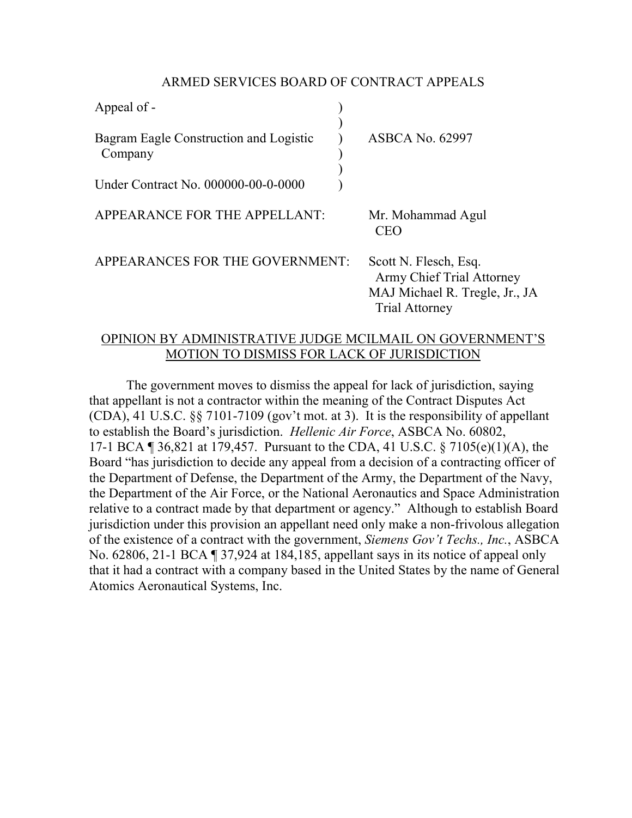## ARMED SERVICES BOARD OF CONTRACT APPEALS

| Appeal of -                                       |                                                                                                                   |
|---------------------------------------------------|-------------------------------------------------------------------------------------------------------------------|
| Bagram Eagle Construction and Logistic<br>Company | <b>ASBCA No. 62997</b>                                                                                            |
| Under Contract No. 000000-00-0-0000               |                                                                                                                   |
| APPEARANCE FOR THE APPELLANT:                     | Mr. Mohammad Agul<br><b>CEO</b>                                                                                   |
| APPEARANCES FOR THE GOVERNMENT:                   | Scott N. Flesch, Esq.<br><b>Army Chief Trial Attorney</b><br>MAJ Michael R. Tregle, Jr.,<br><b>Trial Attorney</b> |

## OPINION BY ADMINISTRATIVE JUDGE MCILMAIL ON GOVERNMENT'S MOTION TO DISMISS FOR LACK OF JURISDICTION

Jr., JA

The government moves to dismiss the appeal for lack of jurisdiction, saying that appellant is not a contractor within the meaning of the Contract Disputes Act (CDA), 41 U.S.C. §§ 7101-7109 (gov't mot. at 3). It is the responsibility of appellant to establish the Board's jurisdiction. *Hellenic Air Force*, ASBCA No. 60802, 17-1 BCA ¶ 36,821 at 179,457. Pursuant to the CDA, 41 U.S.C. § 7105(e)(1)(A), the Board "has jurisdiction to decide any appeal from a decision of a contracting officer of the Department of Defense, the Department of the Army, the Department of the Navy, the Department of the Air Force, or the National Aeronautics and Space Administration relative to a contract made by that department or agency." Although to establish Board jurisdiction under this provision an appellant need only make a non-frivolous allegation of the existence of a contract with the government, *Siemens Gov't Techs., Inc.*, ASBCA No. 62806, 21-1 BCA ¶ 37,924 at 184,185, appellant says in its notice of appeal only that it had a contract with a company based in the United States by the name of General Atomics Aeronautical Systems, Inc.